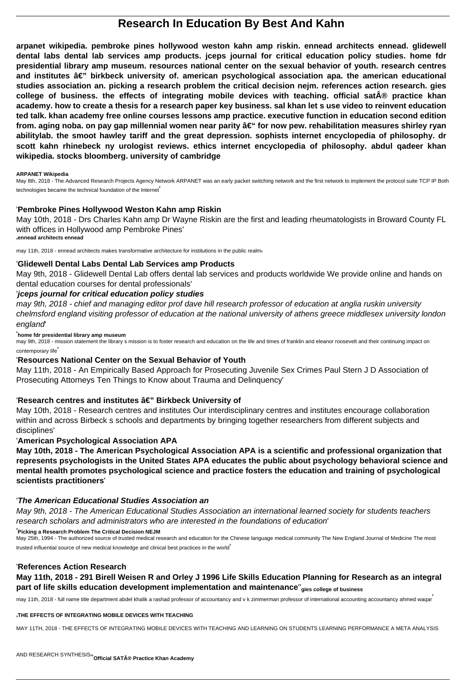# **Research In Education By Best And Kahn**

**arpanet wikipedia. pembroke pines hollywood weston kahn amp riskin. ennead architects ennead. glidewell dental labs dental lab services amp products. jceps journal for critical education policy studies. home fdr presidential library amp museum. resources national center on the sexual behavior of youth. research centres** and institutes â€" birkbeck university of. american psychological association apa. the american educational **studies association an. picking a research problem the critical decision nejm. references action research. gies** college of business. the effects of integrating mobile devices with teaching. official sat**®** practice khan **academy. how to create a thesis for a research paper key business. sal khan let s use video to reinvent education ted talk. khan academy free online courses lessons amp practice. executive function in education second edition** from. aging noba, on pay gap millennial women near parity  $â€$ " for now pew. rehabilitation measures shirley ryan **abilitylab. the smoot hawley tariff and the great depression. sophists internet encyclopedia of philosophy. dr scott kahn rhinebeck ny urologist reviews. ethics internet encyclopedia of philosophy. abdul qadeer khan wikipedia. stocks bloomberg. university of cambridge**

#### **ARPANET Wikipedia**

may 9th, 2018 - mission statement the library s mission is to foster research and education on the life and times of franklin and eleanor roosevelt and their continuing impact on contemporary life'

May 8th, 2018 - The Advanced Research Projects Agency Network ARPANET was an early packet switching network and the first network to implement the protocol suite TCP IP Both technologies became the technical foundation of the Internet'

### '**Pembroke Pines Hollywood Weston Kahn amp Riskin**

May 10th, 2018 - Drs Charles Kahn amp Dr Wayne Riskin are the first and leading rheumatologists in Broward County FL with offices in Hollywood amp Pembroke Pines' '**ennead architects ennead**

may 11th, 2018 - ennead architects makes transformative architecture for institutions in the public realmi

### '**Glidewell Dental Labs Dental Lab Services amp Products**

May 9th, 2018 - Glidewell Dental Lab offers dental lab services and products worldwide We provide online and hands on dental education courses for dental professionals'

### '**jceps journal for critical education policy studies**

may 9th, 2018 - chief and managing editor prof dave hill research professor of education at anglia ruskin university chelmsford england visiting professor of education at the national university of athens greece middlesex university london england'

#### '**home fdr presidential library amp museum**

### '**Resources National Center on the Sexual Behavior of Youth**

May 11th, 2018 - An Empirically Based Approach for Prosecuting Juvenile Sex Crimes Paul Stern J D Association of Prosecuting Attorneys Ten Things to Know about Trauma and Delinquency'

### 'Research centres and institutes â€" Birkbeck University of

May 10th, 2018 - Research centres and institutes Our interdisciplinary centres and institutes encourage collaboration within and across Birbeck s schools and departments by bringing together researchers from different subjects and disciplines'

### '**American Psychological Association APA**

**May 10th, 2018 - The American Psychological Association APA is a scientific and professional organization that represents psychologists in the United States APA educates the public about psychology behavioral science and mental health promotes psychological science and practice fosters the education and training of psychological scientists practitioners**'

### '**The American Educational Studies Association an**

May 9th, 2018 - The American Educational Studies Association an international learned society for students teachers

#### research scholars and administrators who are interested in the foundations of education'

#### '**Picking a Research Problem The Critical Decision NEJM**

May 25th, 1994 - The authorized source of trusted medical research and education for the Chinese language medical community The New England Journal of Medicine The most trusted influential source of new medical knowledge and clinical best practices in the world'

#### '**References Action Research**

# **May 11th, 2018 - 291 Birell Weisen R and Orley J 1996 Life Skills Education Planning for Research as an integral part of life skills education development implementation and maintenance**''**gies college of business**

may 11th, 2018 - full name title department abdel khalik a rashad professor of accountancy and v k zimmerman professor of international accounting accountancy ahmed waqar'

#### '**THE EFFECTS OF INTEGRATING MOBILE DEVICES WITH TEACHING**

MAY 11TH, 2018 - THE EFFECTS OF INTEGRATING MOBILE DEVICES WITH TEACHING AND LEARNING ON STUDENTS LEARNING PERFORMANCE A META ANALYSIS

AND RESEARCH SYNTHESIS''**Official SAT® Practice Khan Academy**